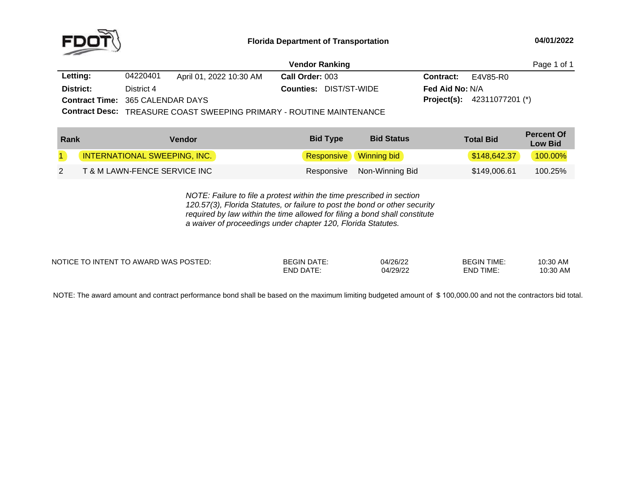

|                                         |            |                         | <b>Vendor Ranking</b>                         |                        |                                      | Page 1 of 1 |
|-----------------------------------------|------------|-------------------------|-----------------------------------------------|------------------------|--------------------------------------|-------------|
| Letting:                                | 04220401   | April 01, 2022 10:30 AM | <b>Call Order: 003</b>                        | <b>Contract:</b>       | E4V85-R0                             |             |
| District:                               | District 4 |                         | <b>Counties: DIST/ST-WIDE</b>                 | <b>Fed Aid No: N/A</b> |                                      |             |
| <b>Contract Time: 365 CALENDAR DAYS</b> |            |                         |                                               |                        | <b>Project(s):</b> $42311077201$ (*) |             |
|                                         |            |                         | $P_{\text{cubic}}$ $P_{\text{cyclic}}$ $\tau$ |                        |                                      |             |

**Contract Desc:** TREASURE COAST SWEEPING PRIMARY - ROUTINE MAINTENANCE

| Rank | Vendor                              | <b>Bid Status</b><br><b>Bid Type</b> | <b>Total Bid</b> | <b>Percent Of</b><br><b>Low Bid</b> |
|------|-------------------------------------|--------------------------------------|------------------|-------------------------------------|
|      | <b>INTERNATIONAL SWEEPING, INC.</b> | Responsive Winning bid               | \$148,642.37     | 100.00%                             |
|      | T & M LAWN-FENCE SERVICE INC        | Responsive Non-Winning Bid           | \$149.006.61     | 100.25%                             |

*NOTE: Failure to file <sup>a</sup> protest within the time prescribed in section 120.57(3), Florida Statutes, or failure to post the bond or other security required by law within the time allowed for filing <sup>a</sup> bond shall constitute a waiver of proceedings under chapter 120, Florida Statutes.*

| NOTICE TO INTENT TO AWARD WAS POSTED: | BEGIN<br>DATE<br><b>DATI</b><br>-ND | 04/26/22<br>04/29/22 | <b>BEGIN TIME:</b><br>TIME.<br>-ND. | 10:30 AM<br>10:30 AM |
|---------------------------------------|-------------------------------------|----------------------|-------------------------------------|----------------------|
|                                       |                                     |                      |                                     |                      |

NOTE: The award amount and contract performance bond shall be based on the maximum limiting budgeted amount of \$ 100,000.00 and not the contractors bid total.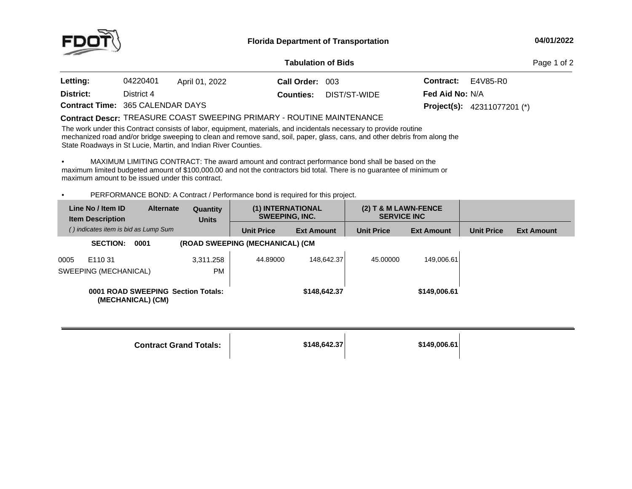

## **04/01/2022**

## **Tabulation**

Page 1 of 2

| <b>Letting:</b>                         | 04220401   | April 01, 2022 | Call Order: 003 |                               | <b>Contract:</b> $E4V85-R0$ |                                      |
|-----------------------------------------|------------|----------------|-----------------|-------------------------------|-----------------------------|--------------------------------------|
| District:                               | District 4 |                |                 | <b>Counties: DIST/ST-WIDE</b> | <b>Fed Aid No: N/A</b>      |                                      |
| <b>Contract Time: 365 CALENDAR DAYS</b> |            |                |                 |                               |                             | <b>Project(s):</b> $42311077201$ (*) |

## $\begin{array}{l}\textbf{Contract \textbf{Descr:}} \text{ TREASURE COAST SWEEPING PRIMARY - ROUTINE MAINTENANCE} \end{array}$

The work under this Contract consists of labor, equipment, materials, and incidentals necessary to provide routine mechanized road and/or bridge sweeping to clean and remove sand, soil, paper, glass, cans, and other debris from along the<br>State Boadways in St Lucie, Martin, and Indian Biyer Counties State Roadways in St Lucie, Martin, and Indian River Counties.

• MAXIMUM LIMITING CONTRACT: The award amount and contract performance bond shall be based on the maximum limited budgeted amount of \$100,000.00 and not the contractors bid total. There is no guarantee of minimum or<br>maximum amount to be issued under this contract maximum amount to be issued under this contract.

•• PERFORMANCE BOND: A Contract / Performance bond is required for this project.

|      | Line No / Item ID<br><b>Item Description</b>            | <b>Alternate</b> | Quantity<br><b>Units</b> | (1) INTERNATIONAL<br><b>SWEEPING, INC.</b> |                   | $(2)$ T & M LAWN-FENCE<br><b>SERVICE INC</b> |                   |                   |                   |
|------|---------------------------------------------------------|------------------|--------------------------|--------------------------------------------|-------------------|----------------------------------------------|-------------------|-------------------|-------------------|
|      | () indicates item is bid as Lump Sum                    |                  |                          | <b>Unit Price</b>                          | <b>Ext Amount</b> | <b>Unit Price</b>                            | <b>Ext Amount</b> | <b>Unit Price</b> | <b>Ext Amount</b> |
|      | <b>SECTION:</b><br>0001                                 |                  |                          | (ROAD SWEEPING (MECHANICAL) (CM)           |                   |                                              |                   |                   |                   |
| 0005 | E110 31                                                 |                  | 3.311.258                | 44.89000                                   | 148.642.37        | 45.00000                                     | 149,006.61        |                   |                   |
|      | SWEEPING (MECHANICAL)                                   |                  | <b>PM</b>                |                                            |                   |                                              |                   |                   |                   |
|      | 0001 ROAD SWEEPING Section Totals:<br>(MECHANICAL) (CM) |                  |                          |                                            | \$148,642.37      |                                              | \$149,006.61      |                   |                   |

| <b>Contract Grand Totals:</b> | \$148,642.37 | \$149,006.61 |  |
|-------------------------------|--------------|--------------|--|
|-------------------------------|--------------|--------------|--|